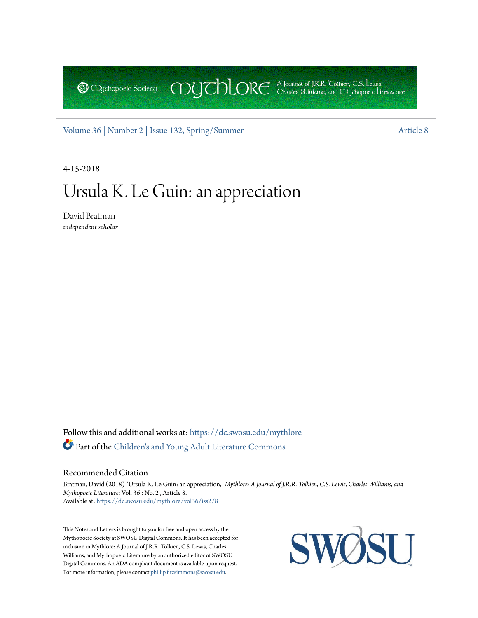COUCHORE A Journal of J.R.R. Colkien, C.S. Lewis, **@** *Oychopoeic* Sociecy

[Volume 36 |](https://dc.swosu.edu/mythlore/vol36?utm_source=dc.swosu.edu%2Fmythlore%2Fvol36%2Fiss2%2F8&utm_medium=PDF&utm_campaign=PDFCoverPages) [Number 2 | Issue 132, Spring/Summer](https://dc.swosu.edu/mythlore/vol36/iss2?utm_source=dc.swosu.edu%2Fmythlore%2Fvol36%2Fiss2%2F8&utm_medium=PDF&utm_campaign=PDFCoverPages) [Article 8](https://dc.swosu.edu/mythlore/vol36/iss2/8?utm_source=dc.swosu.edu%2Fmythlore%2Fvol36%2Fiss2%2F8&utm_medium=PDF&utm_campaign=PDFCoverPages)

4-15-2018

# Ursula K. Le Guin: an appreciation

David Bratman *independent scholar*

Follow this and additional works at: [https://dc.swosu.edu/mythlore](https://dc.swosu.edu/mythlore?utm_source=dc.swosu.edu%2Fmythlore%2Fvol36%2Fiss2%2F8&utm_medium=PDF&utm_campaign=PDFCoverPages) Part of the [Children's and Young Adult Literature Commons](http://network.bepress.com/hgg/discipline/1289?utm_source=dc.swosu.edu%2Fmythlore%2Fvol36%2Fiss2%2F8&utm_medium=PDF&utm_campaign=PDFCoverPages)

#### Recommended Citation

Bratman, David (2018) "Ursula K. Le Guin: an appreciation," *Mythlore: A Journal of J.R.R. Tolkien, C.S. Lewis, Charles Williams, and Mythopoeic Literature*: Vol. 36 : No. 2 , Article 8. Available at: [https://dc.swosu.edu/mythlore/vol36/iss2/8](https://dc.swosu.edu/mythlore/vol36/iss2/8?utm_source=dc.swosu.edu%2Fmythlore%2Fvol36%2Fiss2%2F8&utm_medium=PDF&utm_campaign=PDFCoverPages)

This Notes and Letters is brought to you for free and open access by the Mythopoeic Society at SWOSU Digital Commons. It has been accepted for inclusion in Mythlore: A Journal of J.R.R. Tolkien, C.S. Lewis, Charles Williams, and Mythopoeic Literature by an authorized editor of SWOSU Digital Commons. An ADA compliant document is available upon request. For more information, please contact [phillip.fitzsimmons@swosu.edu](mailto:phillip.fitzsimmons@swosu.edu).

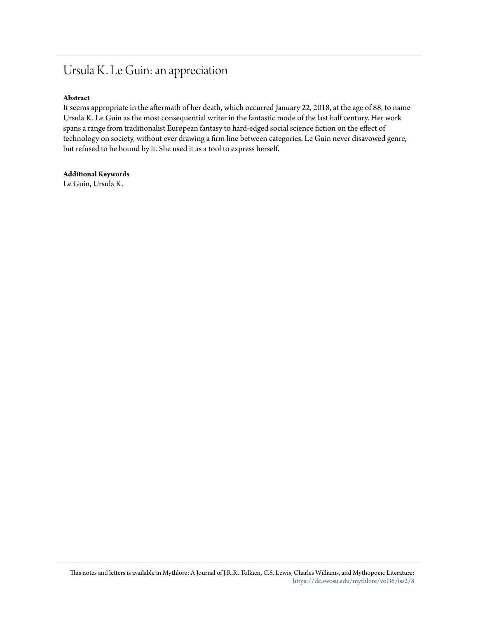# Ursula K. Le Guin: an appreciation

## **Abstract**

It seems appropriate in the aftermath of her death, which occurred January 22, 2018, at the age of 88, to name Ursula K. Le Guin as the most consequential writer in the fantastic mode of the last half century. Her work spans a range from traditionalist European fantasy to hard-edged social science fiction on the effect of technology on society, without ever drawing a firm line between categories. Le Guin never disavowed genre, but refused to be bound by it. She used it as a tool to express herself.

**Additional Keywords** Le Guin, Ursula K.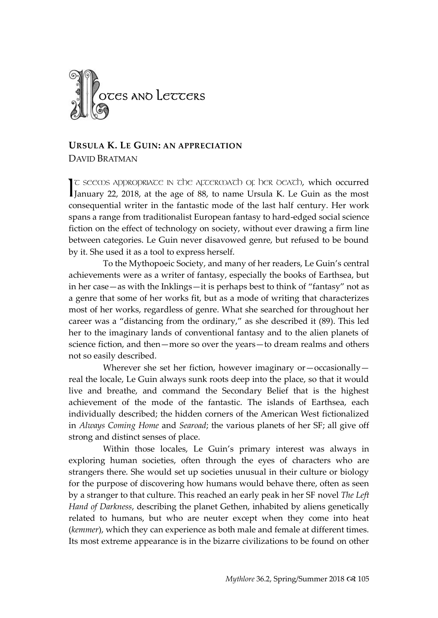

### **URSULA K. LE GUIN: AN APPRECIATION** DAVID BRATMAN

T GEENS APPROPRIATE IN THE AFTERMATH OF HER DEATH, which occurred  $\mathcal{L}$  seems appropriance in the agreement of her oeath, which occurred January 22, 2018, at the age of 88, to name Ursula K. Le Guin as the most consequential writer in the fantastic mode of the last half century. Her work spans a range from traditionalist European fantasy to hard-edged social science fiction on the effect of technology on society, without ever drawing a firm line between categories. Le Guin never disavowed genre, but refused to be bound by it. She used it as a tool to express herself.

To the Mythopoeic Society, and many of her readers, Le Guin's central achievements were as a writer of fantasy, especially the books of Earthsea, but in her case—as with the Inklings—it is perhaps best to think of "fantasy" not as a genre that some of her works fit, but as a mode of writing that characterizes most of her works, regardless of genre. What she searched for throughout her career was a "distancing from the ordinary," as she described it (89). This led her to the imaginary lands of conventional fantasy and to the alien planets of science fiction, and then—more so over the years—to dream realms and others not so easily described.

Wherever she set her fiction, however imaginary or—occasionally real the locale, Le Guin always sunk roots deep into the place, so that it would live and breathe, and command the Secondary Belief that is the highest achievement of the mode of the fantastic. The islands of Earthsea, each individually described; the hidden corners of the American West fictionalized in *Always Coming Home* and *Searoad*; the various planets of her SF; all give off strong and distinct senses of place.

Within those locales, Le Guin's primary interest was always in exploring human societies, often through the eyes of characters who are strangers there. She would set up societies unusual in their culture or biology for the purpose of discovering how humans would behave there, often as seen by a stranger to that culture. This reached an early peak in her SF novel *The Left Hand of Darkness*, describing the planet Gethen, inhabited by aliens genetically related to humans, but who are neuter except when they come into heat (*kemmer*), which they can experience as both male and female at different times. Its most extreme appearance is in the bizarre civilizations to be found on other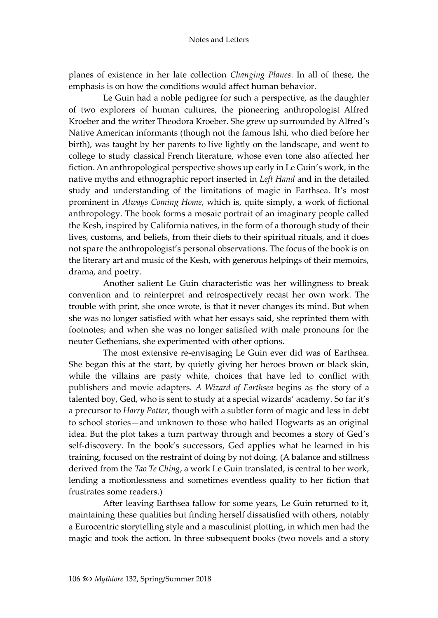planes of existence in her late collection *Changing Planes*. In all of these, the emphasis is on how the conditions would affect human behavior.

Le Guin had a noble pedigree for such a perspective, as the daughter of two explorers of human cultures, the pioneering anthropologist Alfred Kroeber and the writer Theodora Kroeber. She grew up surrounded by Alfred's Native American informants (though not the famous Ishi, who died before her birth), was taught by her parents to live lightly on the landscape, and went to college to study classical French literature, whose even tone also affected her fiction. An anthropological perspective shows up early in Le Guin's work, in the native myths and ethnographic report inserted in *Left Hand* and in the detailed study and understanding of the limitations of magic in Earthsea. It's most prominent in *Always Coming Home*, which is, quite simply, a work of fictional anthropology. The book forms a mosaic portrait of an imaginary people called the Kesh, inspired by California natives, in the form of a thorough study of their lives, customs, and beliefs, from their diets to their spiritual rituals, and it does not spare the anthropologist's personal observations. The focus of the book is on the literary art and music of the Kesh, with generous helpings of their memoirs, drama, and poetry.

Another salient Le Guin characteristic was her willingness to break convention and to reinterpret and retrospectively recast her own work. The trouble with print, she once wrote, is that it never changes its mind. But when she was no longer satisfied with what her essays said, she reprinted them with footnotes; and when she was no longer satisfied with male pronouns for the neuter Gethenians, she experimented with other options.

The most extensive re-envisaging Le Guin ever did was of Earthsea. She began this at the start, by quietly giving her heroes brown or black skin, while the villains are pasty white, choices that have led to conflict with publishers and movie adapters. *A Wizard of Earthsea* begins as the story of a talented boy, Ged, who is sent to study at a special wizards' academy. So far it's a precursor to *Harry Potter*, though with a subtler form of magic and less in debt to school stories—and unknown to those who hailed Hogwarts as an original idea. But the plot takes a turn partway through and becomes a story of Ged's self-discovery. In the book's successors, Ged applies what he learned in his training, focused on the restraint of doing by not doing. (A balance and stillness derived from the *Tao Te Ching*, a work Le Guin translated, is central to her work, lending a motionlessness and sometimes eventless quality to her fiction that frustrates some readers.)

After leaving Earthsea fallow for some years, Le Guin returned to it, maintaining these qualities but finding herself dissatisfied with others, notably a Eurocentric storytelling style and a masculinist plotting, in which men had the magic and took the action. In three subsequent books (two novels and a story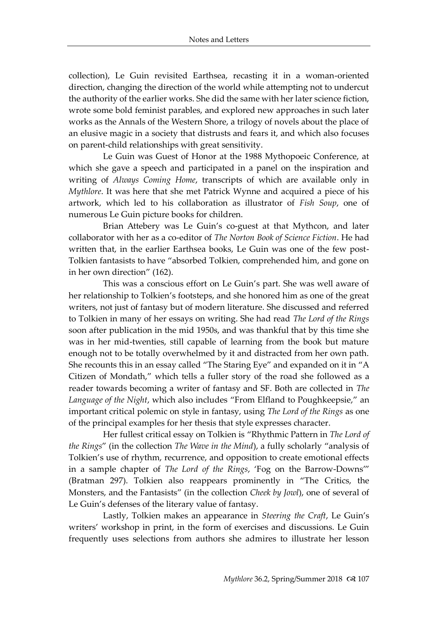collection), Le Guin revisited Earthsea, recasting it in a woman-oriented direction, changing the direction of the world while attempting not to undercut the authority of the earlier works. She did the same with her later science fiction, wrote some bold feminist parables, and explored new approaches in such later works as the Annals of the Western Shore, a trilogy of novels about the place of an elusive magic in a society that distrusts and fears it, and which also focuses on parent-child relationships with great sensitivity.

Le Guin was Guest of Honor at the 1988 Mythopoeic Conference, at which she gave a speech and participated in a panel on the inspiration and writing of *Always Coming Home*, transcripts of which are available only in *Mythlore*. It was here that she met Patrick Wynne and acquired a piece of his artwork, which led to his collaboration as illustrator of *Fish Soup*, one of numerous Le Guin picture books for children.

Brian Attebery was Le Guin's co-guest at that Mythcon, and later collaborator with her as a co-editor of *The Norton Book of Science Fiction*. He had written that, in the earlier Earthsea books, Le Guin was one of the few post-Tolkien fantasists to have "absorbed Tolkien, comprehended him, and gone on in her own direction" (162).

This was a conscious effort on Le Guin's part. She was well aware of her relationship to Tolkien's footsteps, and she honored him as one of the great writers, not just of fantasy but of modern literature. She discussed and referred to Tolkien in many of her essays on writing. She had read *The Lord of the Rings* soon after publication in the mid 1950s, and was thankful that by this time she was in her mid-twenties, still capable of learning from the book but mature enough not to be totally overwhelmed by it and distracted from her own path. She recounts this in an essay called "The Staring Eye" and expanded on it in "A Citizen of Mondath," which tells a fuller story of the road she followed as a reader towards becoming a writer of fantasy and SF. Both are collected in *The Language of the Night*, which also includes "From Elfland to Poughkeepsie," an important critical polemic on style in fantasy, using *The Lord of the Rings* as one of the principal examples for her thesis that style expresses character.

Her fullest critical essay on Tolkien is "Rhythmic Pattern in *The Lord of the Rings*" (in the collection *The Wave in the Mind*), a fully scholarly "analysis of Tolkien's use of rhythm, recurrence, and opposition to create emotional effects in a sample chapter of *The Lord of the Rings*, 'Fog on the Barrow-Downs'" (Bratman 297). Tolkien also reappears prominently in "The Critics, the Monsters, and the Fantasists" (in the collection *Cheek by Jowl*), one of several of Le Guin's defenses of the literary value of fantasy.

Lastly, Tolkien makes an appearance in *Steering the Craft*, Le Guin's writers' workshop in print, in the form of exercises and discussions. Le Guin frequently uses selections from authors she admires to illustrate her lesson